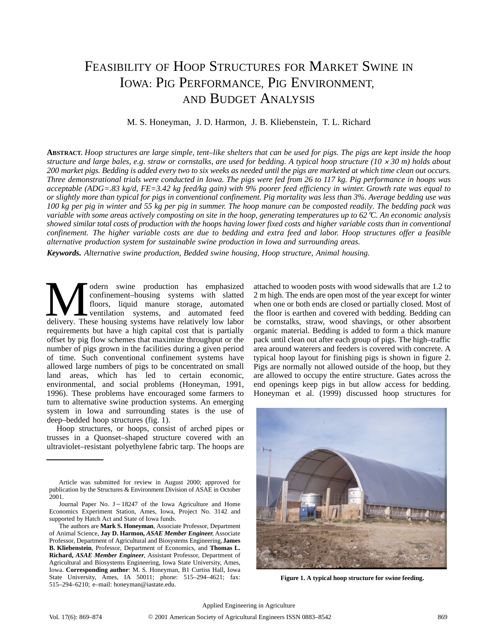# FEASIBILITY OF HOOP STRUCTURES FOR MARKET SWINE IN IOWA: PIG PERFORMANCE, PIG ENVIRONMENT, AND BUDGET ANALYSIS

## M. S. Honeyman, J. D. Harmon, J. B. Kliebenstein, T. L. Richard

**ABSTRACT.** *Hoop structures are large simple, tent–like shelters that can be used for pigs. The pigs are kept inside the hoop structure and large bales, e.g. straw or cornstalks, are used for bedding. A typical hoop structure (10*  $\times$  *30 m) holds about 200 market pigs. Bedding is added every two to six weeks as needed until the pigs are marketed at which time clean out occurs. Three demonstrational trials were conducted in Iowa. The pigs were fed from 26 to 117 kg. Pig performance in hoops was acceptable (ADG=.83 kg/d, FE=3.42 kg feed/kg gain) with 9% poorer feed efficiency in winter. Growth rate was equal to or slightly more than typical for pigs in conventional confinement. Pig mortality was less than 3%. Average bedding use was 100 kg per pig in winter and 55 kg per pig in summer. The hoop manure can be composted readily. The bedding pack was variable with some areas actively composting on site in the hoop, generating temperatures up to 62*-*C. An economic analysis showed similar total costs of production with the hoops having lower fixed costs and higher variable costs than in conventional confinement. The higher variable costs are due to bedding and extra feed and labor. Hoop structures offer a feasible alternative production system for sustainable swine production in Iowa and surrounding areas.*

*Keywords. Alternative swine production, Bedded swine housing, Hoop structure, Animal housing.*

odern swine production has emphasized confinement–housing systems with slatted floors, liquid manure storage, automated ventilation systems, and automated feed **Example 3** odern swine production has emphasized confinement-housing systems with slatted floors, liquid manure storage, automated delivery. These housing systems have relatively low labor requirements but have a high capital cost that is partially offset by pig flow schemes that maximize throughput or the number of pigs grown in the facilities during a given period of time. Such conventional confinement systems have allowed large numbers of pigs to be concentrated on small land areas, which has led to certain economic, environmental, and social problems (Honeyman, 1991, 1996). These problems have encouraged some farmers to turn to alternative swine production systems. An emerging system in Iowa and surrounding states is the use of deep–bedded hoop structures (fig. 1).

Hoop structures, or hoops, consist of arched pipes or trusses in a Quonset–shaped structure covered with an ultraviolet–resistant polyethylene fabric tarp. The hoops are

attached to wooden posts with wood sidewalls that are 1.2 to 2 m high. The ends are open most of the year except for winter when one or both ends are closed or partially closed. Most of the floor is earthen and covered with bedding. Bedding can be cornstalks, straw, wood shavings, or other absorbent organic material. Bedding is added to form a thick manure pack until clean out after each group of pigs. The high–traffic area around waterers and feeders is covered with concrete. A typical hoop layout for finishing pigs is shown in figure 2. Pigs are normally not allowed outside of the hoop, but they are allowed to occupy the entire structure. Gates across the end openings keep pigs in but allow access for bedding. Honeyman et al. (1999) discussed hoop structures for



**Figure 1. A typical hoop structure for swine feeding.**

Article was submitted for review in August 2000; approved for publication by the Structures & Environment Division of ASAE in October 2001.<br>Journal Paper No.  $J - 18247$  of the Iowa Agriculture and Home Article was submitted for review in August 2000; approved for lication by the Structures & Environment Division of ASAE in October 1.<br>Journal Paper No. J – 18247 of the Iowa Agriculture and Home

Economics Experiment Station, Ames, Iowa, Project No. 3142 and supported by Hatch Act and State of Iowa funds.

The authors are **Mark S. Honeyman**, Associate Professor, Department of Animal Science, **Jay D. Harmon,** *ASAE Member Engineer,* Associate Professor, Department of Agricultural and Biosystems Engineering, **James B. Kliebenstein**, Professor, Department of Economics, and **Thomas L. Richard,** *ASAE Member Engineer*, Assistant Professor, Department of Agricultural and Biosystems Engineering, Iowa State University, Ames, Iowa. **Corresponding author**: M. S. Honeyman, B1 Curtiss Hall, Iowa State University, Ames, IA 50011; phone: 515–294–4621; fax: 515–294–6210; e–mail: honeyman@iastate.edu.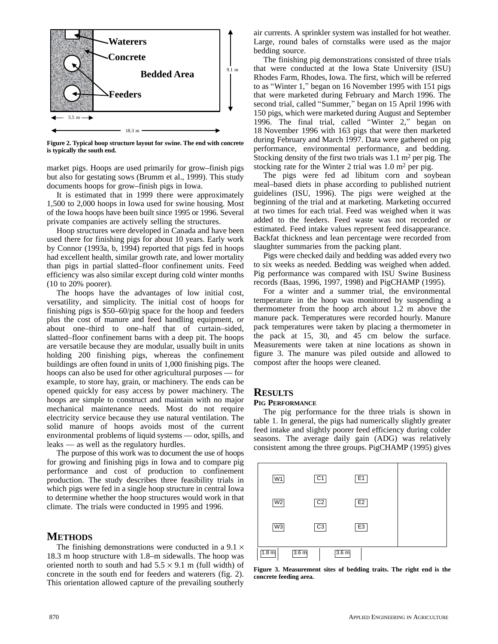

**Figure 2. Typical hoop structure layout for swine. The end with concrete is typically the south end.**

market pigs. Hoops are used primarily for grow–finish pigs but also for gestating sows (Brumm et al., 1999). This study documents hoops for grow–finish pigs in Iowa.

It is estimated that in 1999 there were approximately 1,500 to 2,000 hoops in Iowa used for swine housing. Most of the Iowa hoops have been built since 1995 or 1996. Several private companies are actively selling the structures.

Hoop structures were developed in Canada and have been used there for finishing pigs for about 10 years. Early work by Connor (1993a, b, 1994) reported that pigs fed in hoops had excellent health, similar growth rate, and lower mortality than pigs in partial slatted–floor confinement units. Feed efficiency was also similar except during cold winter months (10 to 20% poorer).

The hoops have the advantages of low initial cost, versatility, and simplicity. The initial cost of hoops for finishing pigs is \$50–60/pig space for the hoop and feeders plus the cost of manure and feed handling equipment, or about one–third to one–half that of curtain–sided, slatted–floor confinement barns with a deep pit. The hoops are versatile because they are modular, usually built in units holding 200 finishing pigs, whereas the confinement buildings are often found in units of 1,000 finishing pigs. The hoops can also be used for other agricultural purposes — for example, to store hay, grain, or machinery. The ends can be opened quickly for easy access by power machinery. The hoops are simple to construct and maintain with no major mechanical maintenance needs. Most do not require electricity service because they use natural ventilation. The solid manure of hoops avoids most of the current environmental problems of liquid systems — odor, spills, and leaks –– as well as the regulatory hurdles.

The purpose of this work was to document the use of hoops for growing and finishing pigs in Iowa and to compare pig performance and cost of production to confinement production. The study describes three feasibility trials in which pigs were fed in a single hoop structure in central Iowa to determine whether the hoop structures would work in that climate. The trials were conducted in 1995 and 1996.

# **METHODS**

The finishing demonstrations were conducted in a  $9.1 \times$ 18.3 m hoop structure with 1.8–m sidewalls. The hoop was oriented north to south and had  $5.5 \times 9.1$  m (full width) of concrete in the south end for feeders and waterers (fig. 2). This orientation allowed capture of the prevailing southerly

air currents. A sprinkler system was installed for hot weather. Large, round bales of cornstalks were used as the major bedding source.

The finishing pig demonstrations consisted of three trials that were conducted at the Iowa State University (ISU) Rhodes Farm, Rhodes, Iowa. The first, which will be referred to as Winter 1," began on 16 November 1995 with 151 pigs that were marketed during February and March 1996. The second trial, called "Summer," began on 15 April 1996 with 150 pigs, which were marketed during August and September 1996. The final trial, called Winter 2," began on 18 November 1996 with 163 pigs that were then marketed during February and March 1997. Data were gathered on pig performance, environmental performance, and bedding. Stocking density of the first two trials was 1.1 m<sup>2</sup> per pig. The stocking rate for the Winter 2 trial was 1.0 m<sup>2</sup> per pig.

The pigs were fed ad libitum corn and soybean meal–based diets in phase according to published nutrient guidelines (ISU, 1996). The pigs were weighed at the beginning of the trial and at marketing. Marketing occurred at two times for each trial. Feed was weighed when it was added to the feeders. Feed waste was not recorded or estimated. Feed intake values represent feed disappearance. Backfat thickness and lean percentage were recorded from slaughter summaries from the packing plant.

Pigs were checked daily and bedding was added every two to six weeks as needed. Bedding was weighed when added. Pig performance was compared with ISU Swine Business records (Baas, 1996, 1997, 1998) and PigCHAMP (1995).

For a winter and a summer trial, the environmental temperature in the hoop was monitored by suspending a thermometer from the hoop arch about 1.2 m above the manure pack. Temperatures were recorded hourly. Manure pack temperatures were taken by placing a thermometer in the pack at 15, 30, and 45 cm below the surface. Measurements were taken at nine locations as shown in figure 3. The manure was piled outside and allowed to compost after the hoops were cleaned.

# **RESULTS**

### **PIG PERFORMANCE**

The pig performance for the three trials is shown in table 1. In general, the pigs had numerically slightly greater feed intake and slightly poorer feed efficiency during colder seasons. The average daily gain (ADG) was relatively consistent among the three groups. PigCHAMP (1995) gives



**Figure 3. Measurement sites of bedding traits. The right end is the concrete feeding area.**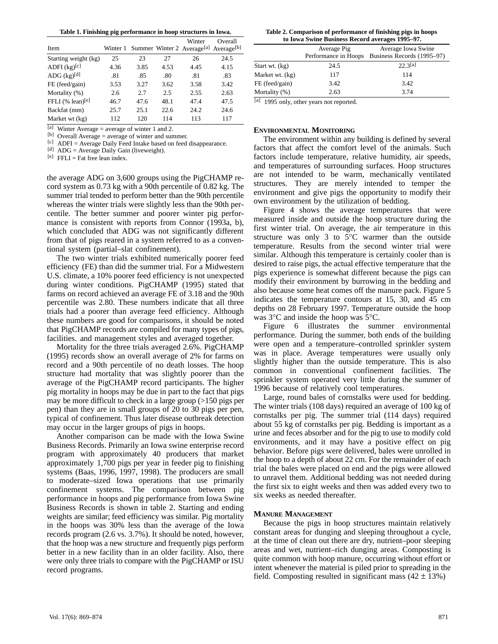**Table 1. Finishing pig performance in hoop structures in Iowa.**

| Item                          |      |      |      | Winter<br>Winter 1 Summer Winter 2 Average <sup>[a]</sup> Average <sup>[b]</sup> | Overall |
|-------------------------------|------|------|------|----------------------------------------------------------------------------------|---------|
| Starting weight (kg)          | 25   | 23   | 27   | 26                                                                               | 24.5    |
| ADFI $(kg)^{[c]}$             | 4.36 | 3.85 | 4.53 | 4.45                                                                             | 4.15    |
| ADG $(kg)^{[d]}$              | .81  | .85  | .80  | .81                                                                              | .83     |
| FE (feed/gain)                | 3.53 | 3.27 | 3.62 | 3.58                                                                             | 3.42    |
| Mortality (%)                 | 2.6  | 2.7  | 2.5  | 2.55                                                                             | 2.63    |
| FFLI $%$ lean) <sup>[e]</sup> | 46.7 | 47.6 | 48.1 | 47.4                                                                             | 47.5    |
| Backfat (mm)                  | 25.7 | 25.1 | 22.6 | 24.2                                                                             | 24.6    |
| Market wt (kg)                | 112  | 120  | 114  | 113                                                                              | 117     |

[a] Winter Average = average of winter 1 and 2.

[b] Overall Average = average of winter and summer.

[c] ADFI = Average Daily Feed Intake based on feed disappearance.

[d] ADG = Average Daily Gain (liveweight).

 $[e]$  FFLI = Fat free lean index.

the average ADG on 3,600 groups using the PigCHAMP record system as 0.73 kg with a 90th percentile of 0.82 kg. The summer trial tended to perform better than the 90th percentile whereas the winter trials were slightly less than the 90th percentile. The better summer and poorer winter pig performance is consistent with reports from Connor (1993a, b), which concluded that ADG was not significantly different from that of pigs reared in a system referred to as a conventional system (partial–slat confinement).

The two winter trials exhibited numerically poorer feed efficiency (FE) than did the summer trial. For a Midwestern U.S. climate, a 10% poorer feed efficiency is not unexpected during winter conditions. PigCHAMP (1995) stated that farms on record achieved an average FE of 3.18 and the 90th percentile was 2.80. These numbers indicate that all three trials had a poorer than average feed efficiency. Although these numbers are good for comparisons, it should be noted that PigCHAMP records are compiled for many types of pigs, facilities. and management styles and averaged together.

Mortality for the three trials averaged 2.6%. PigCHAMP (1995) records show an overall average of 2% for farms on record and a 90th percentile of no death losses. The hoop structure had mortality that was slightly poorer than the average of the PigCHAMP record participants. The higher pig mortality in hoops may be due in part to the fact that pigs may be more difficult to check in a large group (>150 pigs per pen) than they are in small groups of 20 to 30 pigs per pen, typical of confinement. Thus later disease outbreak detection may occur in the larger groups of pigs in hoops.

Another comparison can be made with the Iowa Swine Business Records. Primarily an Iowa swine enterprise record program with approximately 40 producers that market approximately 1,700 pigs per year in feeder pig to finishing systems (Baas, 1996, 1997, 1998). The producers are small to moderate–sized Iowa operations that use primarily confinement systems. The comparison between pig performance in hoops and pig performance from Iowa Swine Business Records is shown in table 2. Starting and ending weights are similar; feed efficiency was similar. Pig mortality in the hoops was 30% less than the average of the Iowa records program (2.6 vs. 3.7%). It should be noted, however, that the hoop was a new structure and frequently pigs perform better in a new facility than in an older facility. Also, there were only three trials to compare with the PigCHAMP or ISU record programs.

**Table 2. Comparison of performance of finishing pigs in hoops to Iowa Swine Business Record averages 1995–97.**

|                 | Average Pig | Average Iowa Swine<br>Performance in Hoops Business Records (1995–97) |  |  |  |
|-----------------|-------------|-----------------------------------------------------------------------|--|--|--|
| Start wt. (kg)  | 24.5        | 22.3[a]                                                               |  |  |  |
| Market wt. (kg) | 117         | 114                                                                   |  |  |  |
| FE (feed/gain)  | 3.42        | 3.42                                                                  |  |  |  |
| Mortality (%)   | 2.63        | 3.74                                                                  |  |  |  |

[a] 1995 only, other years not reported.

#### **ENVIRONMENTAL MONITORING**

The environment within any building is defined by several factors that affect the comfort level of the animals. Such factors include temperature, relative humidity, air speeds, and temperatures of surrounding surfaces. Hoop structures are not intended to be warm, mechanically ventilated structures. They are merely intended to temper the environment and give pigs the opportunity to modify their own environment by the utilization of bedding.

Figure 4 shows the average temperatures that were measured inside and outside the hoop structure during the first winter trial. On average, the air temperature in this structure was only 3 to 5°C warmer than the outside temperature. Results from the second winter trial were similar. Although this temperature is certainly cooler than is desired to raise pigs, the actual effective temperature that the pigs experience is somewhat different because the pigs can modify their environment by burrowing in the bedding and also because some heat comes off the manure pack. Figure 5 indicates the temperature contours at 15, 30, and 45 cm depths on 28 February 1997. Temperature outside the hoop was 3°C and inside the hoop was 5°C.

Figure 6 illustrates the summer environmental performance. During the summer, both ends of the building were open and a temperature–controlled sprinkler system was in place. Average temperatures were usually only slightly higher than the outside temperature. This is also common in conventional confinement facilities. The sprinkler system operated very little during the summer of 1996 because of relatively cool temperatures.

Large, round bales of cornstalks were used for bedding. The winter trials (108 days) required an average of 100 kg of cornstalks per pig. The summer trial (114 days) required about 55 kg of cornstalks per pig. Bedding is important as a urine and feces absorber and for the pig to use to modify cold environments, and it may have a positive effect on pig behavior. Before pigs were delivered, bales were unrolled in the hoop to a depth of about 22 cm. For the remainder of each trial the bales were placed on end and the pigs were allowed to unravel them. Additional bedding was not needed during the first six to eight weeks and then was added every two to six weeks as needed thereafter.

#### **MANURE MANAGEMENT**

Because the pigs in hoop structures maintain relatively constant areas for dunging and sleeping throughout a cycle, at the time of clean out there are dry, nutrient–poor sleeping areas and wet, nutrient–rich dunging areas. Composting is quite common with hoop manure, occurring without effort or intent whenever the material is piled prior to spreading in the field. Composting resulted in significant mass  $(42 \pm 13\%)$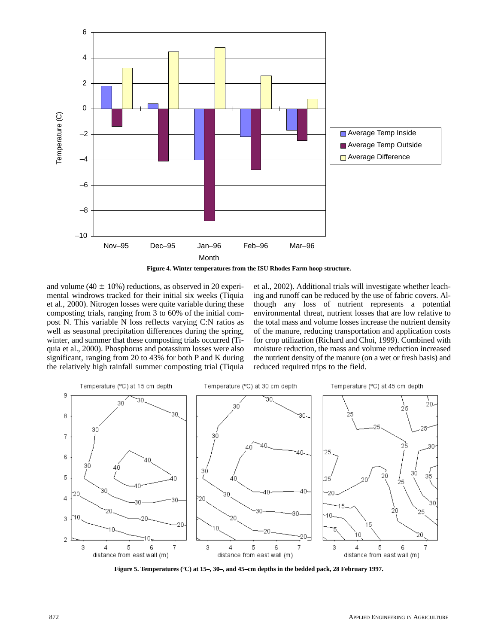



and volume (40  $\pm$  10%) reductions, as observed in 20 experimental windrows tracked for their initial six weeks (Tiquia et al., 2000). Nitrogen losses were quite variable during these composting trials, ranging from 3 to 60% of the initial compost N. This variable N loss reflects varying C:N ratios as well as seasonal precipitation differences during the spring, winter, and summer that these composting trials occurred (Tiquia et al., 2000). Phosphorus and potassium losses were also significant, ranging from 20 to 43% for both P and K during the relatively high rainfall summer composting trial (Tiquia

et al., 2002). Additional trials will investigate whether leaching and runoff can be reduced by the use of fabric covers. Although any loss of nutrient represents a potential environmental threat, nutrient losses that are low relative to the total mass and volume losses increase the nutrient density of the manure, reducing transportation and application costs for crop utilization (Richard and Choi, 1999). Combined with moisture reduction, the mass and volume reduction increased the nutrient density of the manure (on a wet or fresh basis) and reduced required trips to the field.



**Figure 5. Temperatures (ºC) at 15–, 30–, and 45–cm depths in the bedded pack, 28 February 1997.**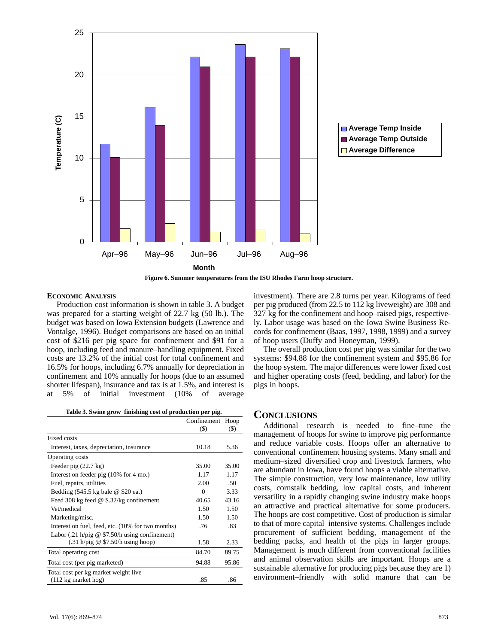

**Figure 6. Summer temperatures from the ISU Rhodes Farm hoop structure.**

#### **ECONOMIC ANALYSIS**

Production cost information is shown in table 3. A budget was prepared for a starting weight of 22.7 kg (50 lb.). The budget was based on Iowa Extension budgets (Lawrence and Vontalge, 1996). Budget comparisons are based on an initial cost of \$216 per pig space for confinement and \$91 for a hoop, including feed and manure–handling equipment. Fixed costs are 13.2% of the initial cost for total confinement and 16.5% for hoops, including 6.7% annually for depreciation in confinement and 10% annually for hoops (due to an assumed shorter lifespan), insurance and tax is at 1.5%, and interest is<br>at 5% of initial investment (10% of average<br>Table 3. Swine grow-finishing cost of production per pig. at 5% of initial investment (10% of average

|                                                                 | Confinement | Hoop                       |
|-----------------------------------------------------------------|-------------|----------------------------|
|                                                                 | $($ \$)     | $\left( \mathbb{S}\right)$ |
| Fixed costs                                                     |             |                            |
| Interest, taxes, depreciation, insurance                        | 10.18       | 5.36                       |
| Operating costs                                                 |             |                            |
| Feeder pig $(22.7 \text{ kg})$                                  | 35.00       | 35.00                      |
| Interest on feeder pig (10% for 4 mo.)                          | 1.17        | 1.17                       |
| Fuel, repairs, utilities                                        | 2.00        | .50                        |
| Bedding $(545.5 \text{ kg}$ bale @ \$20 ea.)                    | 0           | 3.33                       |
| Feed 308 kg feed $\omega$ \$.32/kg confinement                  | 40.65       | 43.16                      |
| Vet/medical                                                     | 1.50        | 1.50                       |
| Marketing/misc.                                                 | 1.50        | 1.50                       |
| Interest on fuel, feed, etc. (10% for two months)               | .76         | .83                        |
| Labor $(.21 \text{ h/pig} \& $7.50/\text{h}$ using confinement) |             |                            |
| $(.31 h/pig \& $7.50/h$ using hoop)                             | 1.58        | 2.33                       |
| Total operating cost                                            | 84.70       | 89.75                      |
| Total cost (per pig marketed)                                   | 94.88       | 95.86                      |
| Total cost per kg market weight live                            |             |                            |
| $(112 \text{ kg market}$                                        | .85         | .86                        |

investment). There are 2.8 turns per year. Kilograms of feed per pig produced (from 22.5 to 112 kg liveweight) are 308 and 327 kg for the confinement and hoop–raised pigs, respectively. Labor usage was based on the Iowa Swine Business Records for confinement (Baas, 1997, 1998, 1999) and a survey of hoop users (Duffy and Honeyman, 1999).

The overall production cost per pig was similar for the two systems: \$94.88 for the confinement system and \$95.86 for the hoop system. The major differences were lower fixed cost and higher operating costs (feed, bedding, and labor) for the pigs in hoops.

# **CONCLUSIONS**

Additional research is needed to fine–tune the management of hoops for swine to improve pig performance and reduce variable costs. Hoops offer an alternative to conventional confinement housing systems. Many small and medium–sized diversified crop and livestock farmers, who are abundant in Iowa, have found hoops a viable alternative. The simple construction, very low maintenance, low utility costs, cornstalk bedding, low capital costs, and inherent versatility in a rapidly changing swine industry make hoops an attractive and practical alternative for some producers. The hoops are cost competitive. Cost of production is similar to that of more capital–intensive systems. Challenges include procurement of sufficient bedding, management of the bedding packs, and health of the pigs in larger groups. Management is much different from conventional facilities and animal observation skills are important. Hoops are a sustainable alternative for producing pigs because they are 1) environment–friendly with solid manure that can be